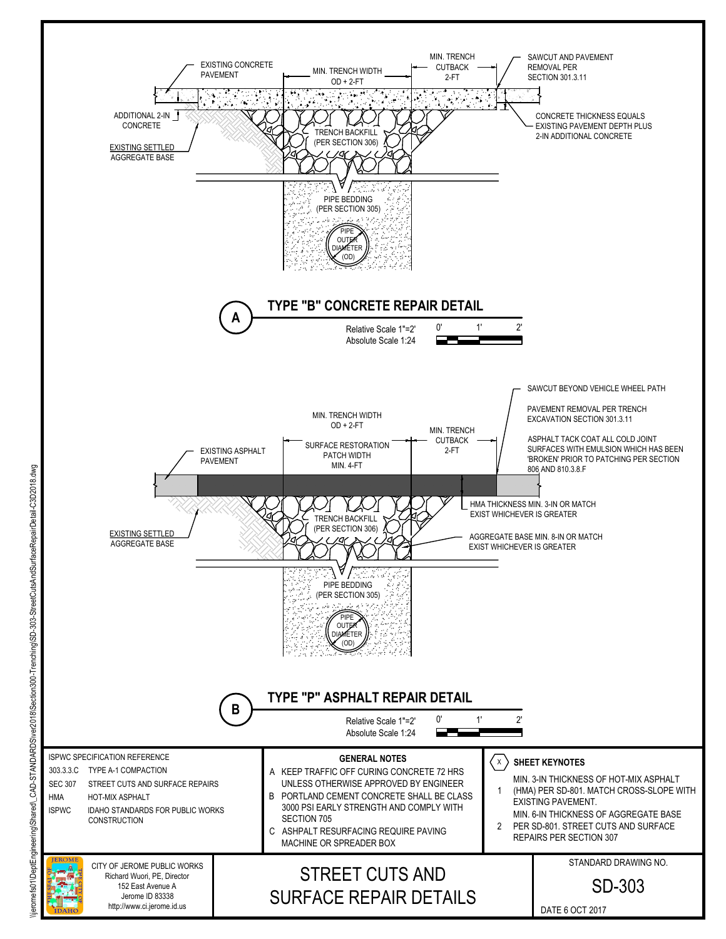